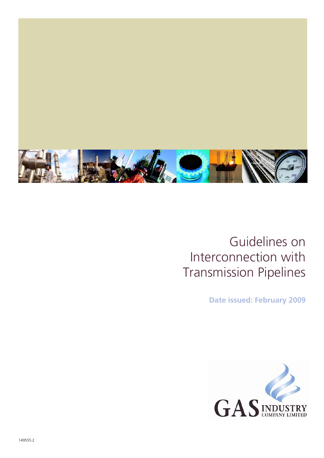

### Guidelines on Interconnection with Transmission Pipelines

**Date issued: February 2009** 

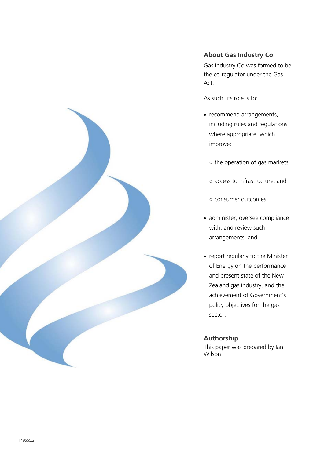

#### **About Gas Industry Co.**

Gas Industry Co was formed to be the co-regulator under the Gas Act.

As such, its role is to:

- recommend arrangements, including rules and regulations where appropriate, which improve:
	- the operation of gas markets;
	- access to infrastructure; and
	- consumer outcomes;
- administer, oversee compliance with, and review such arrangements; and
- report regularly to the Minister of Energy on the performance and present state of the New Zealand gas industry, and the achievement of Government's policy objectives for the gas sector.

#### **Authorship**

This paper was prepared by Ian Wilson<sup>1</sup>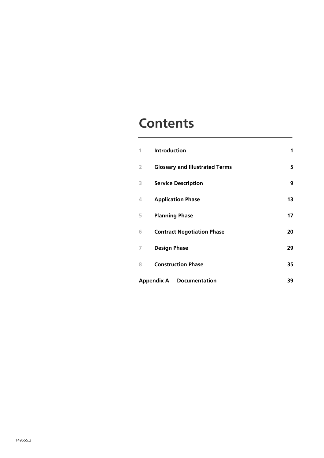### **Contents**

| 1                                               | <b>Introduction</b>                   | 1  |
|-------------------------------------------------|---------------------------------------|----|
| 2                                               | <b>Glossary and Illustrated Terms</b> | 5  |
| 3                                               | <b>Service Description</b>            | 9  |
| 4                                               | <b>Application Phase</b>              | 13 |
| 5                                               | <b>Planning Phase</b>                 | 17 |
| 6                                               | <b>Contract Negotiation Phase</b>     | 20 |
| 7                                               | <b>Design Phase</b>                   | 29 |
| 8                                               | <b>Construction Phase</b>             | 35 |
| <b>Appendix A</b><br><b>Documentation</b><br>39 |                                       |    |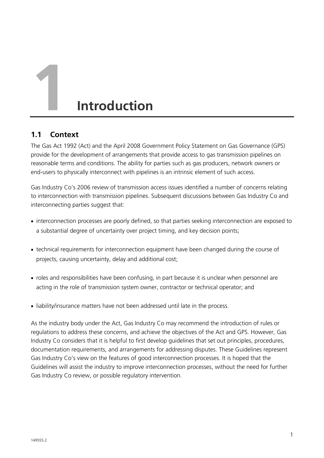# **1 Introduction**

#### **1.1 Context**

The Gas Act 1992 (Act) and the April 2008 Government Policy Statement on Gas Governance (GPS) provide for the development of arrangements that provide access to gas transmission pipelines on reasonable terms and conditions. The ability for parties such as gas producers, network owners or end-users to physically interconnect with pipelines is an intrinsic element of such access.

Gas Industry Co's 2006 review of transmission access issues identified a number of concerns relating to interconnection with transmission pipelines. Subsequent discussions between Gas Industry Co and interconnecting parties suggest that:

- interconnection processes are poorly defined, so that parties seeking interconnection are exposed to a substantial degree of uncertainty over project timing, and key decision points;
- technical requirements for interconnection equipment have been changed during the course of projects, causing uncertainty, delay and additional cost;
- roles and responsibilities have been confusing, in part because it is unclear when personnel are acting in the role of transmission system owner, contractor or technical operator; and
- liability/insurance matters have not been addressed until late in the process.

As the industry body under the Act, Gas Industry Co may recommend the introduction of rules or regulations to address these concerns, and achieve the objectives of the Act and GPS. However, Gas Industry Co considers that it is helpful to first develop guidelines that set out principles, procedures, documentation requirements, and arrangements for addressing disputes. These Guidelines represent Gas Industry Co's view on the features of good interconnection processes. It is hoped that the Guidelines will assist the industry to improve interconnection processes, without the need for further Gas Industry Co review, or possible regulatory intervention.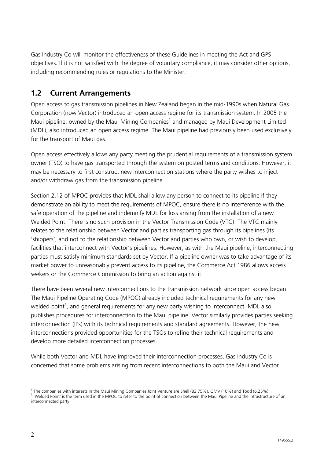Gas Industry Co will monitor the effectiveness of these Guidelines in meeting the Act and GPS objectives. If it is not satisfied with the degree of voluntary compliance, it may consider other options, including recommending rules or regulations to the Minister.

#### **1.2 Current Arrangements**

Open access to gas transmission pipelines in New Zealand began in the mid-1990s when Natural Gas Corporation (now Vector) introduced an open access regime for its transmission system. In 2005 the Maui pipeline, owned by the Maui Mining Companies<sup>1</sup> and managed by Maui Development Limited (MDL), also introduced an open access regime. The Maui pipeline had previously been used exclusively for the transport of Maui gas.

Open access effectively allows any party meeting the prudential requirements of a transmission system owner (TSO) to have gas transported through the system on posted terms and conditions. However, it may be necessary to first construct new interconnection stations where the party wishes to inject and/or withdraw gas from the transmission pipeline.

Section 2.12 of MPOC provides that MDL shall allow any person to connect to its pipeline if they demonstrate an ability to meet the requirements of MPOC, ensure there is no interference with the safe operation of the pipeline and indemnify MDL for loss arising from the installation of a new Welded Point. There is no such provision in the Vector Transmission Code (VTC). The VTC mainly relates to the relationship between Vector and parties transporting gas through its pipelines (its 'shippers', and not to the relationship between Vector and parties who own, or wish to develop, facilities that interconnect with Vector's pipelines. However, as with the Maui pipeline, interconnecting parties must satisfy minimum standards set by Vector. If a pipeline owner was to take advantage of its market power to unreasonably prevent access to its pipeline, the Commerce Act 1986 allows access seekers or the Commerce Commission to bring an action against it.

There have been several new interconnections to the transmission network since open access began. The Maui Pipeline Operating Code (MPOC) already included technical requirements for any new welded point<sup>2</sup>, and general requirements for any new party wishing to interconnect. MDL also publishes procedures for interconnection to the Maui pipeline. Vector similarly provides parties seeking interconnection (IPs) with its technical requirements and standard agreements. However, the new interconnections provided opportunities for the TSOs to refine their technical requirements and develop more detailed interconnection processes.

While both Vector and MDL have improved their interconnection processes, Gas Industry Co is concerned that some problems arising from recent interconnections to both the Maui and Vector

 $\frac{1}{1}$ 

<sup>&#</sup>x27; The companies with interests in the Maui Mining Companies Joint Venture are Shell (83.75%), OMV (10%) and Todd (6.25%).<br><sup>2</sup> 'Welded Point' is the term used in the MPOC to refer to the point of connection between the Maui interconnected party.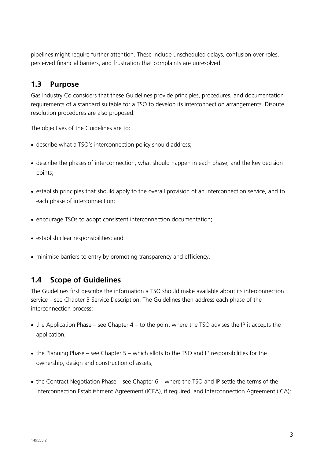pipelines might require further attention. These include unscheduled delays, confusion over roles, perceived financial barriers, and frustration that complaints are unresolved.

#### **1.3 Purpose**

Gas Industry Co considers that these Guidelines provide principles, procedures, and documentation requirements of a standard suitable for a TSO to develop its interconnection arrangements. Dispute resolution procedures are also proposed.

The objectives of the Guidelines are to:

- describe what a TSO's interconnection policy should address;
- describe the phases of interconnection, what should happen in each phase, and the key decision points;
- establish principles that should apply to the overall provision of an interconnection service, and to each phase of interconnection;
- encourage TSOs to adopt consistent interconnection documentation:
- establish clear responsibilities; and
- minimise barriers to entry by promoting transparency and efficiency.

#### **1.4 Scope of Guidelines**

The Guidelines first describe the information a TSO should make available about its interconnection service – see Chapter 3 Service Description. The Guidelines then address each phase of the interconnection process:

- $\bullet$  the Application Phase see Chapter 4 to the point where the TSO advises the IP it accepts the application;
- the Planning Phase see Chapter 5 which allots to the TSO and IP responsibilities for the ownership, design and construction of assets;
- the Contract Negotiation Phase see Chapter 6 where the TSO and IP settle the terms of the Interconnection Establishment Agreement (ICEA), if required, and Interconnection Agreement (ICA);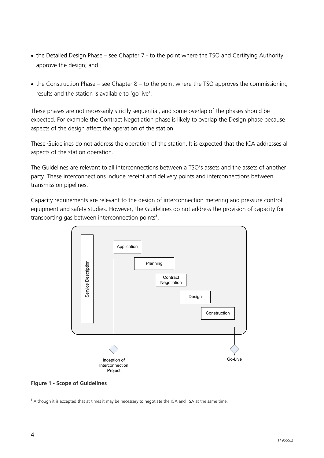- the Detailed Design Phase see Chapter 7 to the point where the TSO and Certifying Authority approve the design; and
- the Construction Phase see Chapter  $8 -$  to the point where the TSO approves the commissioning results and the station is available to 'go live'.

These phases are not necessarily strictly sequential, and some overlap of the phases should be expected. For example the Contract Negotiation phase is likely to overlap the Design phase because aspects of the design affect the operation of the station.

These Guidelines do not address the operation of the station. It is expected that the ICA addresses all aspects of the station operation.

The Guidelines are relevant to all interconnections between a TSO's assets and the assets of another party. These interconnections include receipt and delivery points and interconnections between transmission pipelines.

Capacity requirements are relevant to the design of interconnection metering and pressure control equipment and safety studies. However, the Guidelines do not address the provision of capacity for transporting gas between interconnection points<sup>3</sup>.



**Figure 1 - Scope of Guidelines** 

 3 Although it is accepted that at times it may be necessary to negotiate the ICA and TSA at the same time.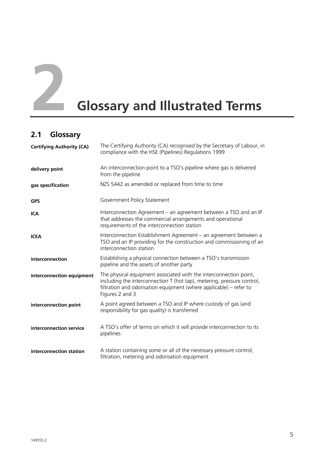

# **2 Glossary and Illustrated Terms**

#### **2.1 Glossary**

| <b>Certifying Authority (CA)</b> | The Certifying Authority (CA) recognised by the Secretary of Labour, in<br>compliance with the HSE (Pipelines) Regulations 1999                                                                                                      |
|----------------------------------|--------------------------------------------------------------------------------------------------------------------------------------------------------------------------------------------------------------------------------------|
| delivery point                   | An interconnection point to a TSO's pipeline where gas is delivered<br>from the pipeline                                                                                                                                             |
| gas specification                | NZS 5442 as amended or replaced from time to time                                                                                                                                                                                    |
| <b>GPS</b>                       | Government Policy Statement                                                                                                                                                                                                          |
| <b>ICA</b>                       | Interconnection Agreement – an agreement between a TSO and an IP<br>that addresses the commercial arrangements and operational<br>requirements of the interconnection station                                                        |
| <b>ICEA</b>                      | Interconnection Establishment Agreement - an agreement between a<br>TSO and an IP providing for the construction and commissioning of an<br>interconnection station                                                                  |
| interconnection                  | Establishing a physical connection between a TSO's transmission<br>pipeline and the assets of another party                                                                                                                          |
| interconnection equipment        | The physical equipment associated with the interconnection point,<br>including the interconnection T (hot tap), metering, pressure control,<br>filtration and odorisation equipment (where applicable) – refer to<br>Figures 2 and 3 |
| interconnection point            | A point agreed between a TSO and IP where custody of gas (and<br>responsibility for gas quality) is transferred                                                                                                                      |
| interconnection service          | A TSO's offer of terms on which it will provide interconnection to its<br>pipelines                                                                                                                                                  |
| interconnection station          | A station containing some or all of the necessary pressure control,<br>filtration, metering and odorisation equipment                                                                                                                |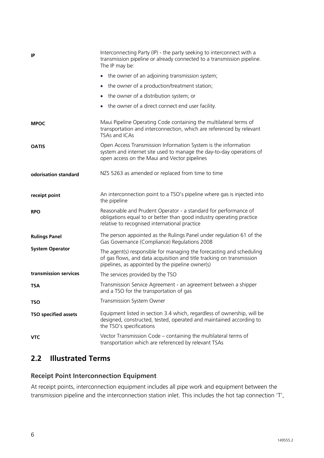| IP                          | Interconnecting Party (IP) - the party seeking to interconnect with a<br>transmission pipeline or already connected to a transmission pipeline.<br>The IP may be:                                 |
|-----------------------------|---------------------------------------------------------------------------------------------------------------------------------------------------------------------------------------------------|
|                             | the owner of an adjoining transmission system;<br>$\bullet$                                                                                                                                       |
|                             | the owner of a production/treatment station;<br>$\bullet$                                                                                                                                         |
|                             | the owner of a distribution system; or<br>$\bullet$                                                                                                                                               |
|                             | the owner of a direct connect end user facility.<br>$\bullet$                                                                                                                                     |
| <b>MPOC</b>                 | Maui Pipeline Operating Code containing the multilateral terms of<br>transportation and interconnection, which are referenced by relevant<br>TSAs and ICAs                                        |
| <b>OATIS</b>                | Open Access Transmission Information System is the information<br>system and internet site used to manage the day-to-day operations of<br>open access on the Maui and Vector pipelines            |
| odorisation standard        | NZS 5263 as amended or replaced from time to time                                                                                                                                                 |
| receipt point               | An interconnection point to a TSO's pipeline where gas is injected into<br>the pipeline                                                                                                           |
| <b>RPO</b>                  | Reasonable and Prudent Operator - a standard for performance of<br>obligations equal to or better than good industry operating practice<br>relative to recognised international practice          |
| <b>Rulings Panel</b>        | The person appointed as the Rulings Panel under regulation 61 of the<br>Gas Governance (Compliance) Regulations 2008                                                                              |
| <b>System Operator</b>      | The agent(s) responsible for managing the forecasting and scheduling<br>of gas flows, and data acquisition and title tracking on transmission<br>pipelines, as appointed by the pipeline owner(s) |
| transmission services       | The services provided by the TSO                                                                                                                                                                  |
| <b>TSA</b>                  | Transmission Service Agreement - an agreement between a shipper<br>and a TSO for the transportation of gas                                                                                        |
| <b>TSO</b>                  | Transmission System Owner                                                                                                                                                                         |
| <b>TSO specified assets</b> | Equipment listed in section 3.4 which, regardless of ownership, will be<br>designed, constructed, tested, operated and maintained according to<br>the TSO's specifications                        |
| <b>VTC</b>                  | Vector Transmission Code - containing the multilateral terms of<br>transportation which are referenced by relevant TSAs                                                                           |

#### **2.2 Illustrated Terms**

#### **Receipt Point Interconnection Equipment**

At receipt points, interconnection equipment includes all pipe work and equipment between the transmission pipeline and the interconnection station inlet. This includes the hot tap connection 'T',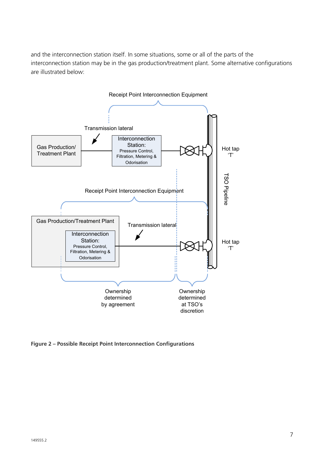and the interconnection station itself. In some situations, some or all of the parts of the interconnection station may be in the gas production/treatment plant. Some alternative configurations are illustrated below:



**Figure 2 – Possible Receipt Point Interconnection Configurations**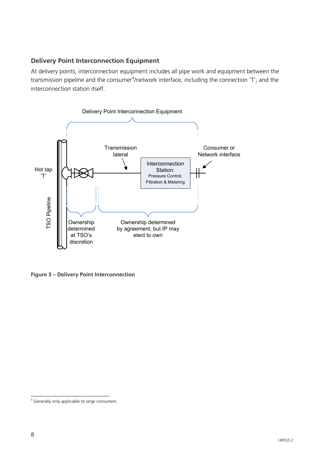#### **Delivery Point Interconnection Equipment**

At delivery points, interconnection equipment includes all pipe work and equipment between the transmission pipeline and the consumer<sup>4</sup>/network interface, including the connection 'T', and the interconnection station itself.



**Figure 3 – Delivery Point Interconnection** 

 4 Generally only applicable to large consumers.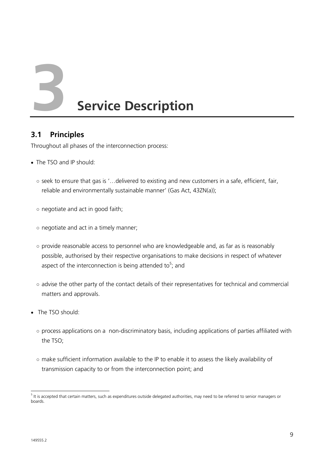**3 Service Description** 

#### **3.1 Principles**

Throughout all phases of the interconnection process:

- The TSO and IP should:
	- seek to ensure that gas is '…delivered to existing and new customers in a safe, efficient, fair, reliable and environmentally sustainable manner' (Gas Act, 43ZN(a));
	- negotiate and act in good faith;
	- negotiate and act in a timely manner;
	- provide reasonable access to personnel who are knowledgeable and, as far as is reasonably possible, authorised by their respective organisations to make decisions in respect of whatever aspect of the interconnection is being attended to<sup>5</sup>; and
	- advise the other party of the contact details of their representatives for technical and commercial matters and approvals.
- The TSO should:
	- process applications on a non-discriminatory basis, including applications of parties affiliated with the TSO;
	- make sufficient information available to the IP to enable it to assess the likely availability of transmission capacity to or from the interconnection point; and

 <sup>5</sup> It is accepted that certain matters, such as expenditures outside delegated authorities, may need to be referred to senior managers or boards.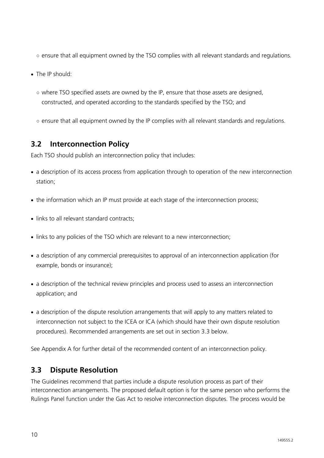- ensure that all equipment owned by the TSO complies with all relevant standards and regulations.
- The IP should:
	- $\circ$  where TSO specified assets are owned by the IP, ensure that those assets are designed, constructed, and operated according to the standards specified by the TSO; and
	- ensure that all equipment owned by the IP complies with all relevant standards and regulations.

#### **3.2 Interconnection Policy**

Each TSO should publish an interconnection policy that includes:

- a description of its access process from application through to operation of the new interconnection station;
- the information which an IP must provide at each stage of the interconnection process:
- links to all relevant standard contracts:
- links to any policies of the TSO which are relevant to a new interconnection;
- a description of any commercial prerequisites to approval of an interconnection application (for example, bonds or insurance);
- a description of the technical review principles and process used to assess an interconnection application; and
- a description of the dispute resolution arrangements that will apply to any matters related to interconnection not subject to the ICEA or ICA (which should have their own dispute resolution procedures). Recommended arrangements are set out in section 3.3 below.

See Appendix A for further detail of the recommended content of an interconnection policy.

#### **3.3 Dispute Resolution**

The Guidelines recommend that parties include a dispute resolution process as part of their interconnection arrangements. The proposed default option is for the same person who performs the Rulings Panel function under the Gas Act to resolve interconnection disputes. The process would be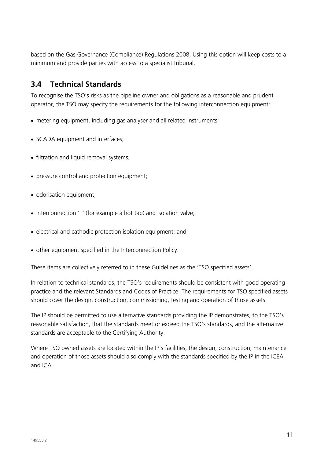based on the Gas Governance (Compliance) Regulations 2008. Using this option will keep costs to a minimum and provide parties with access to a specialist tribunal.

#### **3.4 Technical Standards**

To recognise the TSO's risks as the pipeline owner and obligations as a reasonable and prudent operator, the TSO may specify the requirements for the following interconnection equipment:

- metering equipment, including gas analyser and all related instruments;
- SCADA equipment and interfaces;
- filtration and liquid removal systems;
- pressure control and protection equipment;
- odorisation equipment;
- interconnection 'T' (for example a hot tap) and isolation valve;
- electrical and cathodic protection isolation equipment; and
- other equipment specified in the Interconnection Policy.

These items are collectively referred to in these Guidelines as the 'TSO specified assets'.

In relation to technical standards, the TSO's requirements should be consistent with good operating practice and the relevant Standards and Codes of Practice. The requirements for TSO specified assets should cover the design, construction, commissioning, testing and operation of those assets.

The IP should be permitted to use alternative standards providing the IP demonstrates, to the TSO's reasonable satisfaction, that the standards meet or exceed the TSO's standards, and the alternative standards are acceptable to the Certifying Authority.

Where TSO owned assets are located within the IP's facilities, the design, construction, maintenance and operation of those assets should also comply with the standards specified by the IP in the ICEA and ICA.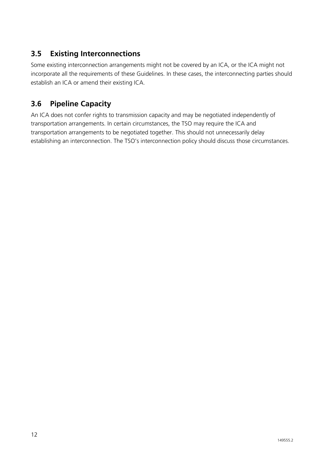#### **3.5 Existing Interconnections**

Some existing interconnection arrangements might not be covered by an ICA, or the ICA might not incorporate all the requirements of these Guidelines. In these cases, the interconnecting parties should establish an ICA or amend their existing ICA.

#### **3.6 Pipeline Capacity**

An ICA does not confer rights to transmission capacity and may be negotiated independently of transportation arrangements. In certain circumstances, the TSO may require the ICA and transportation arrangements to be negotiated together. This should not unnecessarily delay establishing an interconnection. The TSO's interconnection policy should discuss those circumstances.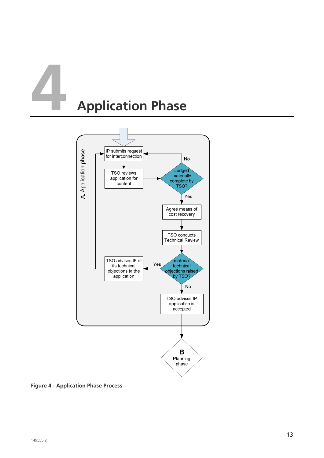# **4 Application Phase**



**Figure 4 - Application Phase Process**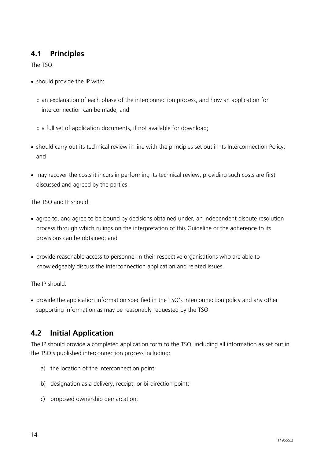#### **4.1 Principles**

The TSO:

- should provide the IP with:
	- an explanation of each phase of the interconnection process, and how an application for interconnection can be made; and
	- a full set of application documents, if not available for download;
- should carry out its technical review in line with the principles set out in its Interconnection Policy; and
- may recover the costs it incurs in performing its technical review, providing such costs are first discussed and agreed by the parties.

The TSO and IP should:

- agree to, and agree to be bound by decisions obtained under, an independent dispute resolution process through which rulings on the interpretation of this Guideline or the adherence to its provisions can be obtained; and
- provide reasonable access to personnel in their respective organisations who are able to knowledgeably discuss the interconnection application and related issues.

The IP should:

• provide the application information specified in the TSO's interconnection policy and any other supporting information as may be reasonably requested by the TSO.

#### **4.2 Initial Application**

The IP should provide a completed application form to the TSO, including all information as set out in the TSO's published interconnection process including:

- a) the location of the interconnection point;
- b) designation as a delivery, receipt, or bi-direction point;
- c) proposed ownership demarcation;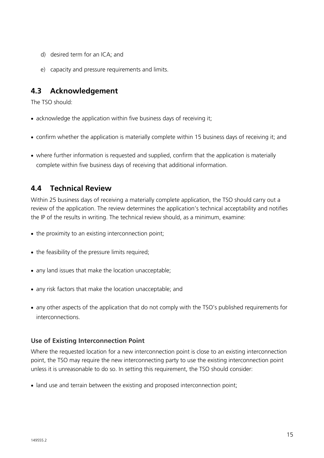- d) desired term for an ICA; and
- e) capacity and pressure requirements and limits.

#### **4.3 Acknowledgement**

The TSO should:

- acknowledge the application within five business days of receiving it;
- confirm whether the application is materially complete within 15 business days of receiving it; and
- where further information is requested and supplied, confirm that the application is materially complete within five business days of receiving that additional information.

#### **4.4 Technical Review**

Within 25 business days of receiving a materially complete application, the TSO should carry out a review of the application. The review determines the application's technical acceptability and notifies the IP of the results in writing. The technical review should, as a minimum, examine:

- the proximity to an existing interconnection point;
- the feasibility of the pressure limits required;
- any land issues that make the location unacceptable;
- any risk factors that make the location unacceptable; and
- any other aspects of the application that do not comply with the TSO's published requirements for interconnections.

#### **Use of Existing Interconnection Point**

Where the requested location for a new interconnection point is close to an existing interconnection point, the TSO may require the new interconnecting party to use the existing interconnection point unless it is unreasonable to do so. In setting this requirement, the TSO should consider:

• land use and terrain between the existing and proposed interconnection point;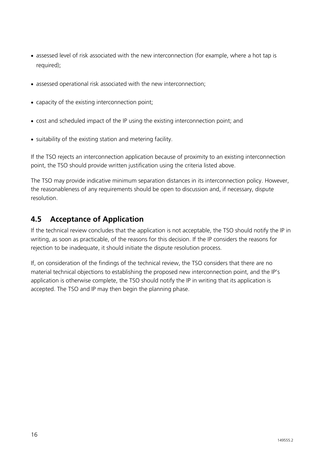- assessed level of risk associated with the new interconnection (for example, where a hot tap is required);
- assessed operational risk associated with the new interconnection;
- capacity of the existing interconnection point;
- cost and scheduled impact of the IP using the existing interconnection point; and
- suitability of the existing station and metering facility.

If the TSO rejects an interconnection application because of proximity to an existing interconnection point, the TSO should provide written justification using the criteria listed above.

The TSO may provide indicative minimum separation distances in its interconnection policy. However, the reasonableness of any requirements should be open to discussion and, if necessary, dispute resolution.

#### **4.5 Acceptance of Application**

If the technical review concludes that the application is not acceptable, the TSO should notify the IP in writing, as soon as practicable, of the reasons for this decision. If the IP considers the reasons for rejection to be inadequate, it should initiate the dispute resolution process.

If, on consideration of the findings of the technical review, the TSO considers that there are no material technical objections to establishing the proposed new interconnection point, and the IP's application is otherwise complete, the TSO should notify the IP in writing that its application is accepted. The TSO and IP may then begin the planning phase.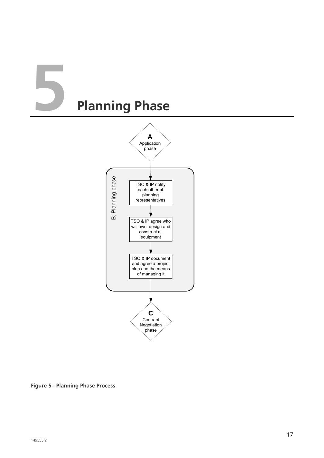## **5 Planning Phase**



**Figure 5 - Planning Phase Process**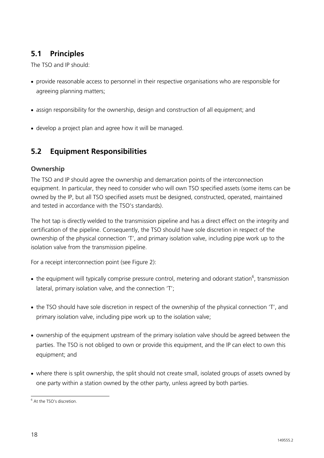#### **5.1 Principles**

The TSO and IP should:

- provide reasonable access to personnel in their respective organisations who are responsible for agreeing planning matters;
- assign responsibility for the ownership, design and construction of all equipment; and
- develop a project plan and agree how it will be managed.

#### **5.2 Equipment Responsibilities**

#### **Ownership**

The TSO and IP should agree the ownership and demarcation points of the interconnection equipment. In particular, they need to consider who will own TSO specified assets (some items can be owned by the IP, but all TSO specified assets must be designed, constructed, operated, maintained and tested in accordance with the TSO's standards).

The hot tap is directly welded to the transmission pipeline and has a direct effect on the integrity and certification of the pipeline. Consequently, the TSO should have sole discretion in respect of the ownership of the physical connection 'T', and primary isolation valve, including pipe work up to the isolation valve from the transmission pipeline.

For a receipt interconnection point (see Figure 2):

- the equipment will typically comprise pressure control, metering and odorant station<sup>6</sup>, transmission lateral, primary isolation valve, and the connection 'T';
- the TSO should have sole discretion in respect of the ownership of the physical connection 'T', and primary isolation valve, including pipe work up to the isolation valve;
- ownership of the equipment upstream of the primary isolation valve should be agreed between the parties. The TSO is not obliged to own or provide this equipment, and the IP can elect to own this equipment; and
- where there is split ownership, the split should not create small, isolated groups of assets owned by one party within a station owned by the other party, unless agreed by both parties.

<sup>&</sup>lt;sup>6</sup> At the TSO's discretion.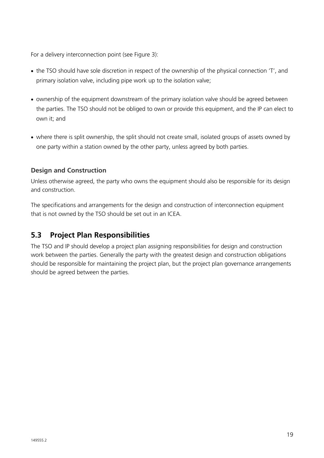For a delivery interconnection point (see Figure 3):

- the TSO should have sole discretion in respect of the ownership of the physical connection 'T', and primary isolation valve, including pipe work up to the isolation valve;
- ownership of the equipment downstream of the primary isolation valve should be agreed between the parties. The TSO should not be obliged to own or provide this equipment, and the IP can elect to own it; and
- where there is split ownership, the split should not create small, isolated groups of assets owned by one party within a station owned by the other party, unless agreed by both parties.

#### **Design and Construction**

Unless otherwise agreed, the party who owns the equipment should also be responsible for its design and construction.

The specifications and arrangements for the design and construction of interconnection equipment that is not owned by the TSO should be set out in an ICEA.

#### **5.3 Project Plan Responsibilities**

The TSO and IP should develop a project plan assigning responsibilities for design and construction work between the parties. Generally the party with the greatest design and construction obligations should be responsible for maintaining the project plan, but the project plan governance arrangements should be agreed between the parties.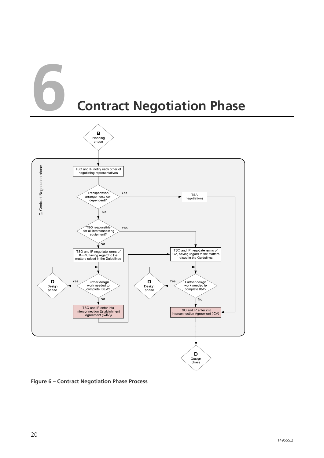### **6 Contract Negotiation Phase**



**Figure 6 – Contract Negotiation Phase Process**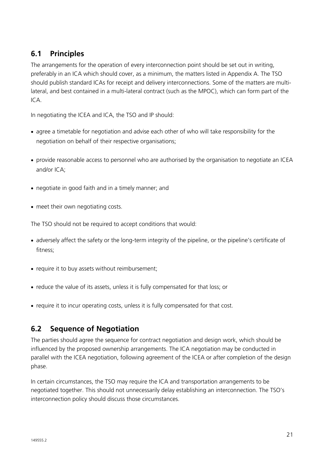#### **6.1 Principles**

The arrangements for the operation of every interconnection point should be set out in writing, preferably in an ICA which should cover, as a minimum, the matters listed in Appendix A. The TSO should publish standard ICAs for receipt and delivery interconnections. Some of the matters are multilateral, and best contained in a multi-lateral contract (such as the MPOC), which can form part of the  $ICA$ 

In negotiating the ICEA and ICA, the TSO and IP should:

- agree a timetable for negotiation and advise each other of who will take responsibility for the negotiation on behalf of their respective organisations;
- provide reasonable access to personnel who are authorised by the organisation to negotiate an ICEA and/or ICA;
- negotiate in good faith and in a timely manner; and
- meet their own negotiating costs.

The TSO should not be required to accept conditions that would:

- adversely affect the safety or the long-term integrity of the pipeline, or the pipeline's certificate of fitness;
- require it to buy assets without reimbursement;
- reduce the value of its assets, unless it is fully compensated for that loss; or
- require it to incur operating costs, unless it is fully compensated for that cost.

#### **6.2 Sequence of Negotiation**

The parties should agree the sequence for contract negotiation and design work, which should be influenced by the proposed ownership arrangements. The ICA negotiation may be conducted in parallel with the ICEA negotiation, following agreement of the ICEA or after completion of the design phase.

In certain circumstances, the TSO may require the ICA and transportation arrangements to be negotiated together. This should not unnecessarily delay establishing an interconnection. The TSO's interconnection policy should discuss those circumstances.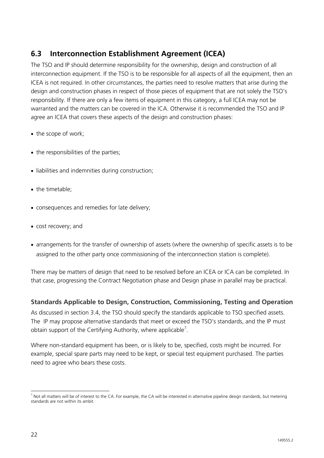#### **6.3 Interconnection Establishment Agreement (ICEA)**

The TSO and IP should determine responsibility for the ownership, design and construction of all interconnection equipment. If the TSO is to be responsible for all aspects of all the equipment, then an ICEA is not required. In other circumstances, the parties need to resolve matters that arise during the design and construction phases in respect of those pieces of equipment that are not solely the TSO's responsibility. If there are only a few items of equipment in this category, a full ICEA may not be warranted and the matters can be covered in the ICA. Otherwise it is recommended the TSO and IP agree an ICEA that covers these aspects of the design and construction phases:

- the scope of work;
- the responsibilities of the parties;
- liabilities and indemnities during construction:
- the timetable:
- consequences and remedies for late delivery;
- cost recovery; and
- arrangements for the transfer of ownership of assets (where the ownership of specific assets is to be assigned to the other party once commissioning of the interconnection station is complete).

There may be matters of design that need to be resolved before an ICEA or ICA can be completed. In that case, progressing the Contract Negotiation phase and Design phase in parallel may be practical.

#### **Standards Applicable to Design, Construction, Commissioning, Testing and Operation**

As discussed in section 3.4, the TSO should specify the standards applicable to TSO specified assets. The IP may propose alternative standards that meet or exceed the TSO's standards, and the IP must obtain support of the Certifying Authority, where applicable<sup>7</sup>.

Where non-standard equipment has been, or is likely to be, specified, costs might be incurred. For example, special spare parts may need to be kept, or special test equipment purchased. The parties need to agree who bears these costs.

  $^7$  Not all matters will be of interest to the CA. For example, the CA will be interested in alternative pipeline design standards, but metering standards are not within its ambit.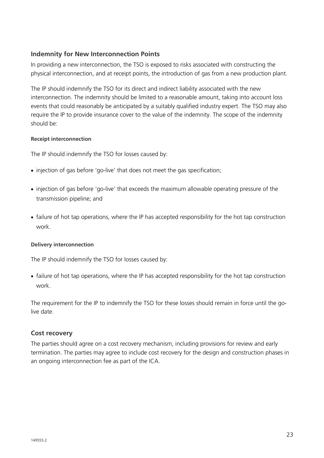#### **Indemnity for New Interconnection Points**

In providing a new interconnection, the TSO is exposed to risks associated with constructing the physical interconnection, and at receipt points, the introduction of gas from a new production plant.

The IP should indemnify the TSO for its direct and indirect liability associated with the new interconnection. The indemnity should be limited to a reasonable amount, taking into account loss events that could reasonably be anticipated by a suitably qualified industry expert. The TSO may also require the IP to provide insurance cover to the value of the indemnity. The scope of the indemnity should be:

#### **Receipt interconnection**

The IP should indemnify the TSO for losses caused by:

- injection of gas before 'go-live' that does not meet the gas specification;
- injection of gas before 'go-live' that exceeds the maximum allowable operating pressure of the transmission pipeline; and
- failure of hot tap operations, where the IP has accepted responsibility for the hot tap construction work.

#### **Delivery interconnection**

The IP should indemnify the TSO for losses caused by:

• failure of hot tap operations, where the IP has accepted responsibility for the hot tap construction work.

The requirement for the IP to indemnify the TSO for these losses should remain in force until the golive date.

#### **Cost recovery**

The parties should agree on a cost recovery mechanism, including provisions for review and early termination. The parties may agree to include cost recovery for the design and construction phases in an ongoing interconnection fee as part of the ICA.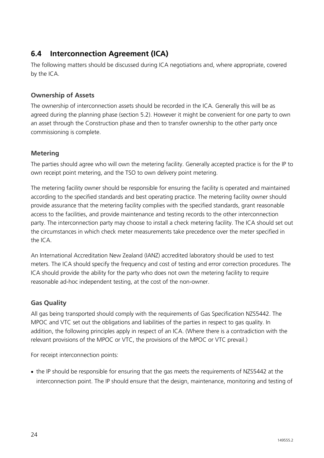#### **6.4 Interconnection Agreement (ICA)**

The following matters should be discussed during ICA negotiations and, where appropriate, covered by the ICA.

#### **Ownership of Assets**

The ownership of interconnection assets should be recorded in the ICA. Generally this will be as agreed during the planning phase (section 5.2). However it might be convenient for one party to own an asset through the Construction phase and then to transfer ownership to the other party once commissioning is complete.

#### **Metering**

The parties should agree who will own the metering facility. Generally accepted practice is for the IP to own receipt point metering, and the TSO to own delivery point metering.

The metering facility owner should be responsible for ensuring the facility is operated and maintained according to the specified standards and best operating practice. The metering facility owner should provide assurance that the metering facility complies with the specified standards, grant reasonable access to the facilities, and provide maintenance and testing records to the other interconnection party. The interconnection party may choose to install a check metering facility. The ICA should set out the circumstances in which check meter measurements take precedence over the meter specified in the ICA.

An International Accreditation New Zealand (IANZ) accredited laboratory should be used to test meters. The ICA should specify the frequency and cost of testing and error correction procedures. The ICA should provide the ability for the party who does not own the metering facility to require reasonable ad-hoc independent testing, at the cost of the non-owner.

#### **Gas Quality**

All gas being transported should comply with the requirements of Gas Specification NZS5442. The MPOC and VTC set out the obligations and liabilities of the parties in respect to gas quality. In addition, the following principles apply in respect of an ICA. (Where there is a contradiction with the relevant provisions of the MPOC or VTC, the provisions of the MPOC or VTC prevail.)

For receipt interconnection points:

• the IP should be responsible for ensuring that the gas meets the requirements of NZS5442 at the interconnection point. The IP should ensure that the design, maintenance, monitoring and testing of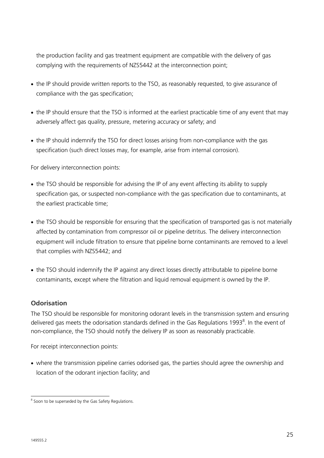the production facility and gas treatment equipment are compatible with the delivery of gas complying with the requirements of NZS5442 at the interconnection point;

- the IP should provide written reports to the TSO, as reasonably requested, to give assurance of compliance with the gas specification;
- the IP should ensure that the TSO is informed at the earliest practicable time of any event that may adversely affect gas quality, pressure, metering accuracy or safety; and
- the IP should indemnify the TSO for direct losses arising from non-compliance with the gas specification (such direct losses may, for example, arise from internal corrosion).

For delivery interconnection points:

- the TSO should be responsible for advising the IP of any event affecting its ability to supply specification gas, or suspected non-compliance with the gas specification due to contaminants, at the earliest practicable time;
- the TSO should be responsible for ensuring that the specification of transported gas is not materially affected by contamination from compressor oil or pipeline detritus. The delivery interconnection equipment will include filtration to ensure that pipeline borne contaminants are removed to a level that complies with NZS5442; and
- the TSO should indemnify the IP against any direct losses directly attributable to pipeline borne contaminants, except where the filtration and liquid removal equipment is owned by the IP.

#### **Odorisation**

The TSO should be responsible for monitoring odorant levels in the transmission system and ensuring delivered gas meets the odorisation standards defined in the Gas Regulations 1993<sup>8</sup>. In the event of non-compliance, the TSO should notify the delivery IP as soon as reasonably practicable.

For receipt interconnection points:

• where the transmission pipeline carries odorised gas, the parties should agree the ownership and location of the odorant injection facility; and

<sup>&</sup>lt;sup>8</sup> Soon to be superseded by the Gas Safety Regulations.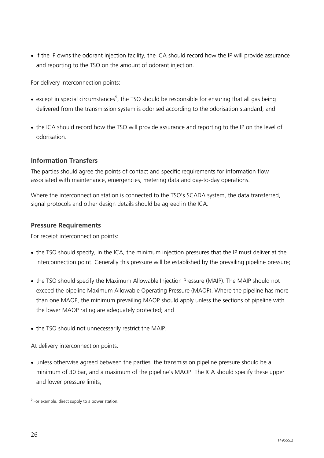• if the IP owns the odorant injection facility, the ICA should record how the IP will provide assurance and reporting to the TSO on the amount of odorant injection.

For delivery interconnection points:

- except in special circumstances<sup>9</sup>, the TSO should be responsible for ensuring that all gas being delivered from the transmission system is odorised according to the odorisation standard; and
- the ICA should record how the TSO will provide assurance and reporting to the IP on the level of odorisation.

#### **Information Transfers**

The parties should agree the points of contact and specific requirements for information flow associated with maintenance, emergencies, metering data and day-to-day operations.

Where the interconnection station is connected to the TSO's SCADA system, the data transferred, signal protocols and other design details should be agreed in the ICA.

#### **Pressure Requirements**

For receipt interconnection points:

- the TSO should specify, in the ICA, the minimum injection pressures that the IP must deliver at the interconnection point. Generally this pressure will be established by the prevailing pipeline pressure;
- the TSO should specify the Maximum Allowable Injection Pressure (MAIP). The MAIP should not exceed the pipeline Maximum Allowable Operating Pressure (MAOP). Where the pipeline has more than one MAOP, the minimum prevailing MAOP should apply unless the sections of pipeline with the lower MAOP rating are adequately protected; and
- the TSO should not unnecessarily restrict the MAIP.

At delivery interconnection points:

• unless otherwise agreed between the parties, the transmission pipeline pressure should be a minimum of 30 bar, and a maximum of the pipeline's MAOP. The ICA should specify these upper and lower pressure limits;

149555.2

e<br><sup>9</sup> For example, direct supply to a power station.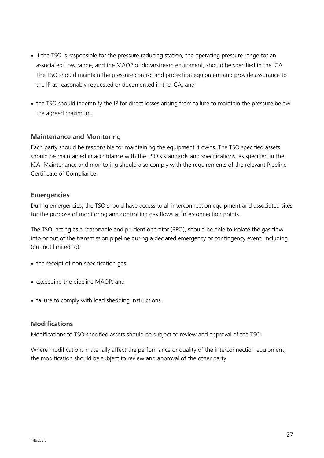- if the TSO is responsible for the pressure reducing station, the operating pressure range for an associated flow range, and the MAOP of downstream equipment, should be specified in the ICA. The TSO should maintain the pressure control and protection equipment and provide assurance to the IP as reasonably requested or documented in the ICA; and
- the TSO should indemnify the IP for direct losses arising from failure to maintain the pressure below the agreed maximum.

#### **Maintenance and Monitoring**

Each party should be responsible for maintaining the equipment it owns. The TSO specified assets should be maintained in accordance with the TSO's standards and specifications, as specified in the ICA. Maintenance and monitoring should also comply with the requirements of the relevant Pipeline Certificate of Compliance.

#### **Emergencies**

During emergencies, the TSO should have access to all interconnection equipment and associated sites for the purpose of monitoring and controlling gas flows at interconnection points.

The TSO, acting as a reasonable and prudent operator (RPO), should be able to isolate the gas flow into or out of the transmission pipeline during a declared emergency or contingency event, including (but not limited to):

- the receipt of non-specification gas;
- exceeding the pipeline MAOP; and
- failure to comply with load shedding instructions.

#### **Modifications**

Modifications to TSO specified assets should be subject to review and approval of the TSO.

Where modifications materially affect the performance or quality of the interconnection equipment, the modification should be subject to review and approval of the other party.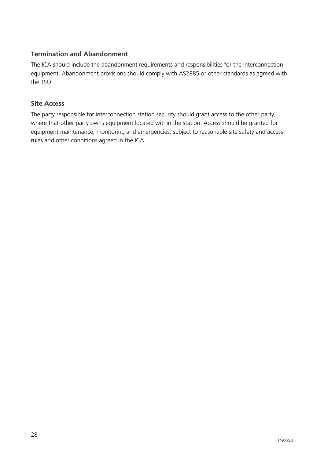#### **Termination and Abandonment**

The ICA should include the abandonment requirements and responsibilities for the interconnection equipment. Abandonment provisions should comply with AS2885 or other standards as agreed with the TSO.

#### **Site Access**

The party responsible for interconnection station security should grant access to the other party, where that other party owns equipment located within the station. Access should be granted for equipment maintenance, monitoring and emergencies, subject to reasonable site safety and access rules and other conditions agreed in the ICA.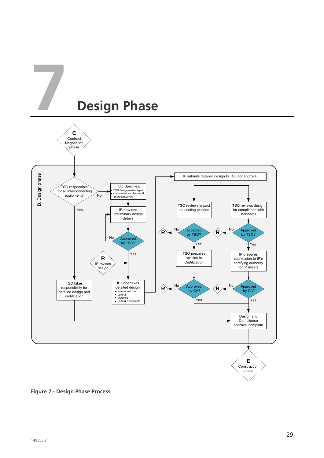

**Figure 7 - Design Phase Process**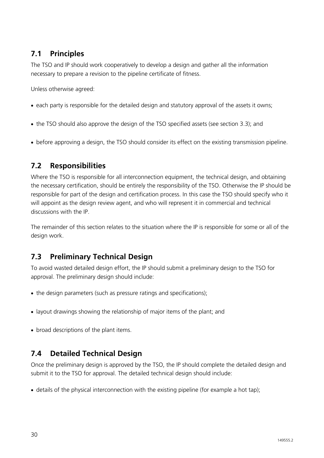#### **7.1 Principles**

The TSO and IP should work cooperatively to develop a design and gather all the information necessary to prepare a revision to the pipeline certificate of fitness.

Unless otherwise agreed:

- each party is responsible for the detailed design and statutory approval of the assets it owns;
- the TSO should also approve the design of the TSO specified assets (see section 3.3); and
- before approving a design, the TSO should consider its effect on the existing transmission pipeline.

#### **7.2 Responsibilities**

Where the TSO is responsible for all interconnection equipment, the technical design, and obtaining the necessary certification, should be entirely the responsibility of the TSO. Otherwise the IP should be responsible for part of the design and certification process. In this case the TSO should specify who it will appoint as the design review agent, and who will represent it in commercial and technical discussions with the IP.

The remainder of this section relates to the situation where the IP is responsible for some or all of the design work.

#### **7.3 Preliminary Technical Design**

To avoid wasted detailed design effort, the IP should submit a preliminary design to the TSO for approval. The preliminary design should include:

- the design parameters (such as pressure ratings and specifications);
- layout drawings showing the relationship of major items of the plant; and
- broad descriptions of the plant items.

#### **7.4 Detailed Technical Design**

Once the preliminary design is approved by the TSO, the IP should complete the detailed design and submit it to the TSO for approval. The detailed technical design should include:

• details of the physical interconnection with the existing pipeline (for example a hot tap);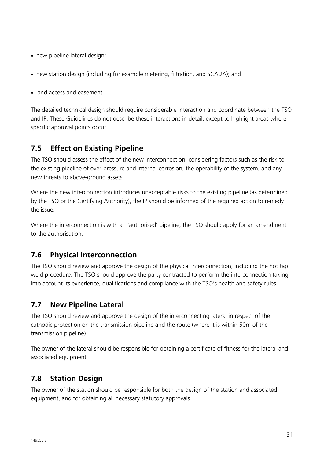- new pipeline lateral design;
- new station design (including for example metering, filtration, and SCADA); and
- land access and easement.

The detailed technical design should require considerable interaction and coordinate between the TSO and IP. These Guidelines do not describe these interactions in detail, except to highlight areas where specific approval points occur.

#### **7.5 Effect on Existing Pipeline**

The TSO should assess the effect of the new interconnection, considering factors such as the risk to the existing pipeline of over-pressure and internal corrosion, the operability of the system, and any new threats to above-ground assets.

Where the new interconnection introduces unacceptable risks to the existing pipeline (as determined by the TSO or the Certifying Authority), the IP should be informed of the required action to remedy the issue.

Where the interconnection is with an 'authorised' pipeline, the TSO should apply for an amendment to the authorisation.

#### **7.6 Physical Interconnection**

The TSO should review and approve the design of the physical interconnection, including the hot tap weld procedure. The TSO should approve the party contracted to perform the interconnection taking into account its experience, qualifications and compliance with the TSO's health and safety rules.

#### **7.7 New Pipeline Lateral**

The TSO should review and approve the design of the interconnecting lateral in respect of the cathodic protection on the transmission pipeline and the route (where it is within 50m of the transmission pipeline).

The owner of the lateral should be responsible for obtaining a certificate of fitness for the lateral and associated equipment.

#### **7.8 Station Design**

The owner of the station should be responsible for both the design of the station and associated equipment, and for obtaining all necessary statutory approvals.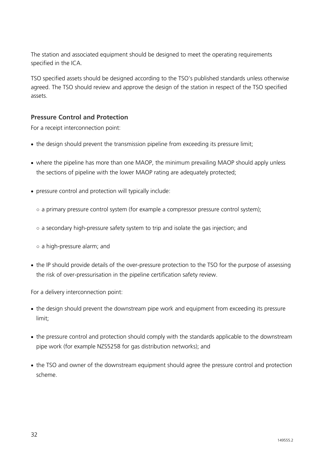The station and associated equipment should be designed to meet the operating requirements specified in the ICA.

TSO specified assets should be designed according to the TSO's published standards unless otherwise agreed. The TSO should review and approve the design of the station in respect of the TSO specified assets.

#### **Pressure Control and Protection**

For a receipt interconnection point:

- the design should prevent the transmission pipeline from exceeding its pressure limit;
- where the pipeline has more than one MAOP, the minimum prevailing MAOP should apply unless the sections of pipeline with the lower MAOP rating are adequately protected;
- pressure control and protection will typically include:
	- a primary pressure control system (for example a compressor pressure control system);
	- $\circ$  a secondary high-pressure safety system to trip and isolate the gas injection; and
	- a high-pressure alarm; and
- the IP should provide details of the over-pressure protection to the TSO for the purpose of assessing the risk of over-pressurisation in the pipeline certification safety review.

For a delivery interconnection point:

- the design should prevent the downstream pipe work and equipment from exceeding its pressure limit;
- the pressure control and protection should comply with the standards applicable to the downstream pipe work (for example NZS5258 for gas distribution networks); and
- the TSO and owner of the downstream equipment should agree the pressure control and protection scheme.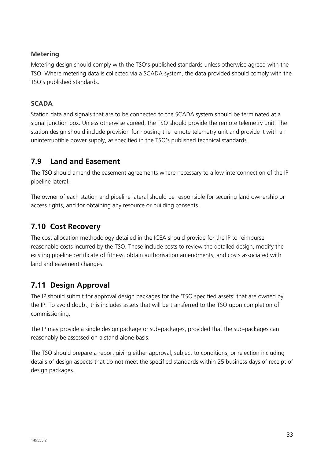#### **Metering**

Metering design should comply with the TSO's published standards unless otherwise agreed with the TSO. Where metering data is collected via a SCADA system, the data provided should comply with the TSO's published standards.

#### **SCADA**

Station data and signals that are to be connected to the SCADA system should be terminated at a signal junction box. Unless otherwise agreed, the TSO should provide the remote telemetry unit. The station design should include provision for housing the remote telemetry unit and provide it with an uninterruptible power supply, as specified in the TSO's published technical standards.

#### **7.9 Land and Easement**

The TSO should amend the easement agreements where necessary to allow interconnection of the IP pipeline lateral.

The owner of each station and pipeline lateral should be responsible for securing land ownership or access rights, and for obtaining any resource or building consents.

#### **7.10 Cost Recovery**

The cost allocation methodology detailed in the ICEA should provide for the IP to reimburse reasonable costs incurred by the TSO. These include costs to review the detailed design, modify the existing pipeline certificate of fitness, obtain authorisation amendments, and costs associated with land and easement changes.

#### **7.11 Design Approval**

The IP should submit for approval design packages for the 'TSO specified assets' that are owned by the IP. To avoid doubt, this includes assets that will be transferred to the TSO upon completion of commissioning.

The IP may provide a single design package or sub-packages, provided that the sub-packages can reasonably be assessed on a stand-alone basis.

The TSO should prepare a report giving either approval, subject to conditions, or rejection including details of design aspects that do not meet the specified standards within 25 business days of receipt of design packages.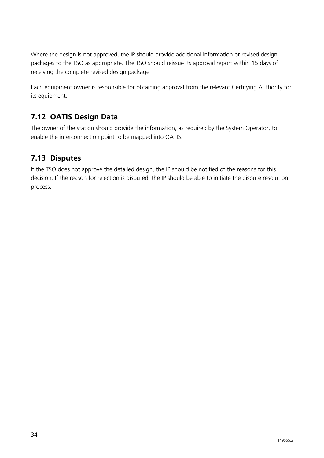Where the design is not approved, the IP should provide additional information or revised design packages to the TSO as appropriate. The TSO should reissue its approval report within 15 days of receiving the complete revised design package.

Each equipment owner is responsible for obtaining approval from the relevant Certifying Authority for its equipment.

#### **7.12 OATIS Design Data**

The owner of the station should provide the information, as required by the System Operator, to enable the interconnection point to be mapped into OATIS.

#### **7.13 Disputes**

If the TSO does not approve the detailed design, the IP should be notified of the reasons for this decision. If the reason for rejection is disputed, the IP should be able to initiate the dispute resolution process.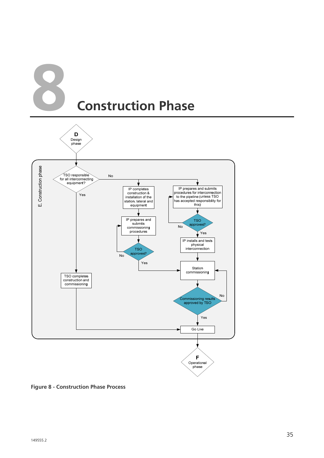



**Figure 8 - Construction Phase Process**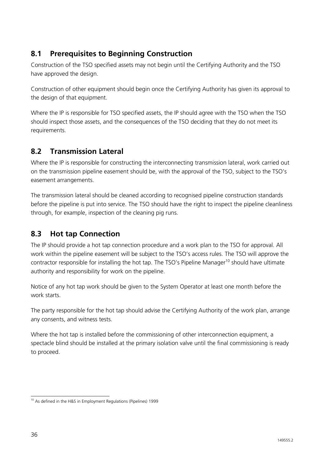#### **8.1 Prerequisites to Beginning Construction**

Construction of the TSO specified assets may not begin until the Certifying Authority and the TSO have approved the design.

Construction of other equipment should begin once the Certifying Authority has given its approval to the design of that equipment.

Where the IP is responsible for TSO specified assets, the IP should agree with the TSO when the TSO should inspect those assets, and the consequences of the TSO deciding that they do not meet its requirements.

#### **8.2 Transmission Lateral**

Where the IP is responsible for constructing the interconnecting transmission lateral, work carried out on the transmission pipeline easement should be, with the approval of the TSO, subject to the TSO's easement arrangements.

The transmission lateral should be cleaned according to recognised pipeline construction standards before the pipeline is put into service. The TSO should have the right to inspect the pipeline cleanliness through, for example, inspection of the cleaning pig runs.

#### **8.3 Hot tap Connection**

The IP should provide a hot tap connection procedure and a work plan to the TSO for approval. All work within the pipeline easement will be subject to the TSO's access rules. The TSO will approve the contractor responsible for installing the hot tap. The TSO's Pipeline Manager<sup>10</sup> should have ultimate authority and responsibility for work on the pipeline.

Notice of any hot tap work should be given to the System Operator at least one month before the work starts.

The party responsible for the hot tap should advise the Certifying Authority of the work plan, arrange any consents, and witness tests.

Where the hot tap is installed before the commissioning of other interconnection equipment, a spectacle blind should be installed at the primary isolation valve until the final commissioning is ready to proceed.

 $\overline{a}$ <sup>10</sup> As defined in the H&S in Employment Regulations (Pipelines) 1999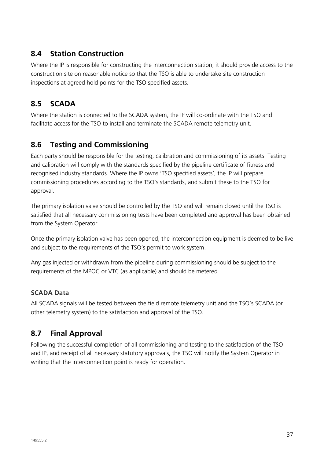#### **8.4 Station Construction**

Where the IP is responsible for constructing the interconnection station, it should provide access to the construction site on reasonable notice so that the TSO is able to undertake site construction inspections at agreed hold points for the TSO specified assets.

#### **8.5 SCADA**

Where the station is connected to the SCADA system, the IP will co-ordinate with the TSO and facilitate access for the TSO to install and terminate the SCADA remote telemetry unit.

#### **8.6 Testing and Commissioning**

Each party should be responsible for the testing, calibration and commissioning of its assets. Testing and calibration will comply with the standards specified by the pipeline certificate of fitness and recognised industry standards. Where the IP owns 'TSO specified assets', the IP will prepare commissioning procedures according to the TSO's standards, and submit these to the TSO for approval.

The primary isolation valve should be controlled by the TSO and will remain closed until the TSO is satisfied that all necessary commissioning tests have been completed and approval has been obtained from the System Operator.

Once the primary isolation valve has been opened, the interconnection equipment is deemed to be live and subject to the requirements of the TSO's permit to work system.

Any gas injected or withdrawn from the pipeline during commissioning should be subject to the requirements of the MPOC or VTC (as applicable) and should be metered.

#### **SCADA Data**

All SCADA signals will be tested between the field remote telemetry unit and the TSO's SCADA (or other telemetry system) to the satisfaction and approval of the TSO.

#### **8.7 Final Approval**

Following the successful completion of all commissioning and testing to the satisfaction of the TSO and IP, and receipt of all necessary statutory approvals, the TSO will notify the System Operator in writing that the interconnection point is ready for operation.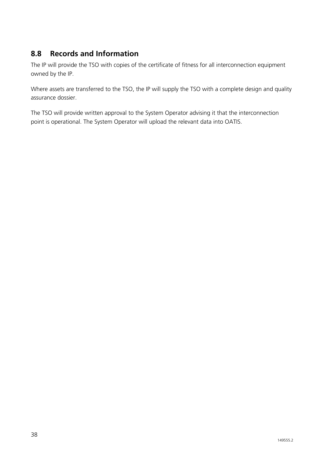#### **8.8 Records and Information**

The IP will provide the TSO with copies of the certificate of fitness for all interconnection equipment owned by the IP.

Where assets are transferred to the TSO, the IP will supply the TSO with a complete design and quality assurance dossier.

The TSO will provide written approval to the System Operator advising it that the interconnection point is operational. The System Operator will upload the relevant data into OATIS.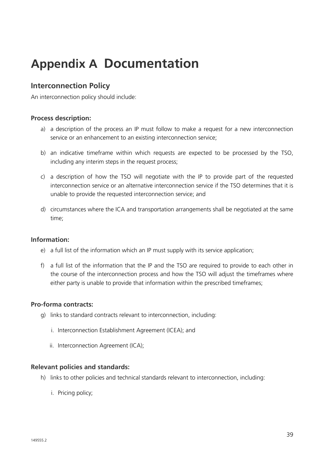### **Appendix A Documentation**

#### **Interconnection Policy**

An interconnection policy should include:

#### **Process description:**

- a) a description of the process an IP must follow to make a request for a new interconnection service or an enhancement to an existing interconnection service;
- b) an indicative timeframe within which requests are expected to be processed by the TSO, including any interim steps in the request process;
- c) a description of how the TSO will negotiate with the IP to provide part of the requested interconnection service or an alternative interconnection service if the TSO determines that it is unable to provide the requested interconnection service; and
- d) circumstances where the ICA and transportation arrangements shall be negotiated at the same time;

#### **Information:**

- e) a full list of the information which an IP must supply with its service application;
- f) a full list of the information that the IP and the TSO are required to provide to each other in the course of the interconnection process and how the TSO will adjust the timeframes where either party is unable to provide that information within the prescribed timeframes;

#### **Pro-forma contracts:**

- g) links to standard contracts relevant to interconnection, including:
	- i. Interconnection Establishment Agreement (ICEA); and
	- ii. Interconnection Agreement (ICA);

#### **Relevant policies and standards:**

- h) links to other policies and technical standards relevant to interconnection, including:
	- i. Pricing policy;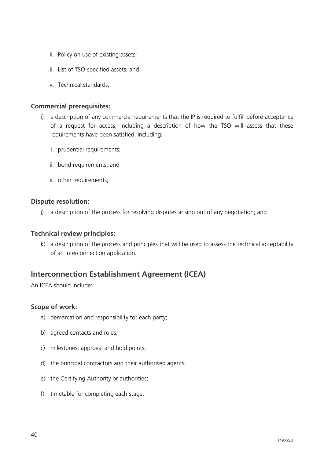- ii. Policy on use of existing assets;
- iii. List of TSO-specified assets; and
- iv. Technical standards;

#### **Commercial prerequisites:**

- i) a description of any commercial requirements that the IP is required to fulfill before acceptance of a request for access, including a description of how the TSO will assess that these requirements have been satisfied, including:
	- i. prudential requirements;
	- ii. bond requirements; and
	- iii. other requirements;

#### **Dispute resolution:**

j) a description of the process for resolving disputes arising out of any negotiation; and

#### **Technical review principles:**

k) a description of the process and principles that will be used to assess the technical acceptability of an interconnection application.

#### **Interconnection Establishment Agreement (ICEA)**

An ICEA should include:

#### **Scope of work:**

- a) demarcation and responsibility for each party;
- b) agreed contacts and roles;
- c) milestones, approval and hold points;
- d) the principal contractors and their authorised agents;
- e) the Certifying Authority or authorities;
- f) timetable for completing each stage;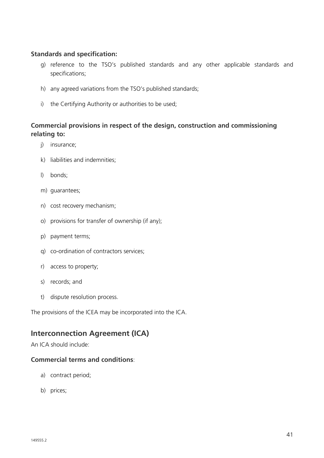#### **Standards and specification:**

- g) reference to the TSO's published standards and any other applicable standards and specifications;
- h) any agreed variations from the TSO's published standards;
- i) the Certifying Authority or authorities to be used;

#### **Commercial provisions in respect of the design, construction and commissioning relating to:**

- j) insurance;
- k) liabilities and indemnities;
- l) bonds;
- m) guarantees;
- n) cost recovery mechanism;
- o) provisions for transfer of ownership (if any);
- p) payment terms;
- q) co-ordination of contractors services;
- r) access to property;
- s) records; and
- t) dispute resolution process.

The provisions of the ICEA may be incorporated into the ICA.

#### **Interconnection Agreement (ICA)**

An ICA should include:

#### **Commercial terms and conditions**:

- a) contract period;
- b) prices: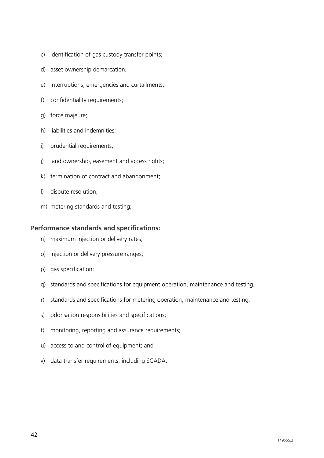- c) identification of gas custody transfer points;
- d) asset ownership demarcation;
- e) interruptions, emergencies and curtailments;
- f) confidentiality requirements;
- g) force majeure;
- h) liabilities and indemnities;
- i) prudential requirements;
- j) land ownership, easement and access rights;
- k) termination of contract and abandonment;
- l) dispute resolution;
- m) metering standards and testing;

#### **Performance standards and specifications:**

- n) maximum injection or delivery rates;
- o) injection or delivery pressure ranges;
- p) gas specification;
- q) standards and specifications for equipment operation, maintenance and testing;
- r) standards and specifications for metering operation, maintenance and testing;
- s) odorisation responsibilities and specifications;
- t) monitoring, reporting and assurance requirements;
- u) access to and control of equipment; and
- v) data transfer requirements, including SCADA.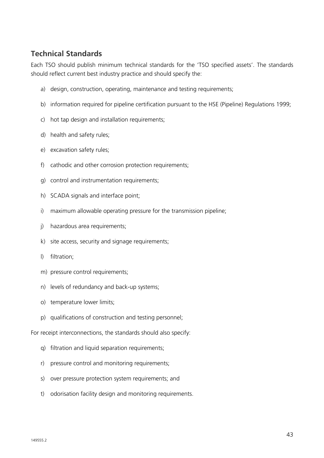#### **Technical Standards**

Each TSO should publish minimum technical standards for the 'TSO specified assets'. The standards should reflect current best industry practice and should specify the:

- a) design, construction, operating, maintenance and testing requirements;
- b) information required for pipeline certification pursuant to the HSE (Pipeline) Regulations 1999;
- c) hot tap design and installation requirements;
- d) health and safety rules;
- e) excavation safety rules;
- f) cathodic and other corrosion protection requirements;
- g) control and instrumentation requirements;
- h) SCADA signals and interface point;
- i) maximum allowable operating pressure for the transmission pipeline;
- j) hazardous area requirements;
- k) site access, security and signage requirements;
- l) filtration;
- m) pressure control requirements;
- n) levels of redundancy and back-up systems;
- o) temperature lower limits;
- p) qualifications of construction and testing personnel;

For receipt interconnections, the standards should also specify:

- q) filtration and liquid separation requirements;
- r) pressure control and monitoring requirements;
- s) over pressure protection system requirements; and
- t) odorisation facility design and monitoring requirements.